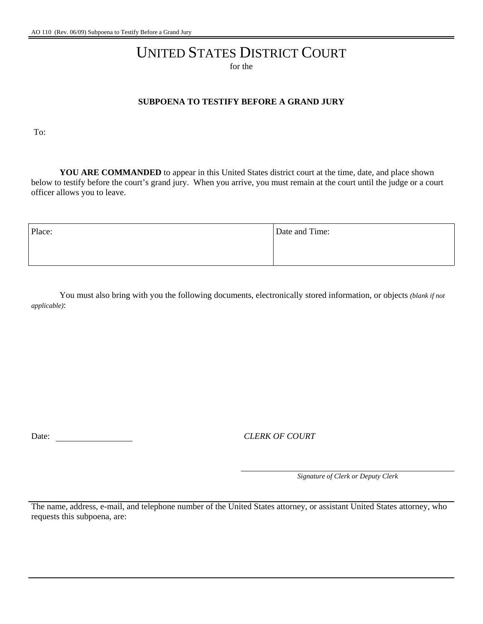## UNITED STATES DISTRICT COURT

for the

## **SUBPOENA TO TESTIFY BEFORE A GRAND JURY**

To:

**YOU ARE COMMANDED** to appear in this United States district court at the time, date, and place shown below to testify before the court's grand jury. When you arrive, you must remain at the court until the judge or a court officer allows you to leave.

| Place: | Date and Time: |
|--------|----------------|
|        |                |
|        |                |

You must also bring with you the following documents, electronically stored information, or objects *(blank if not applicable)*:

Date: *CLERK OF COURT* 

*Signature of Clerk or Deputy Clerk*

The name, address, e-mail, and telephone number of the United States attorney, or assistant United States attorney, who requests this subpoena, are: